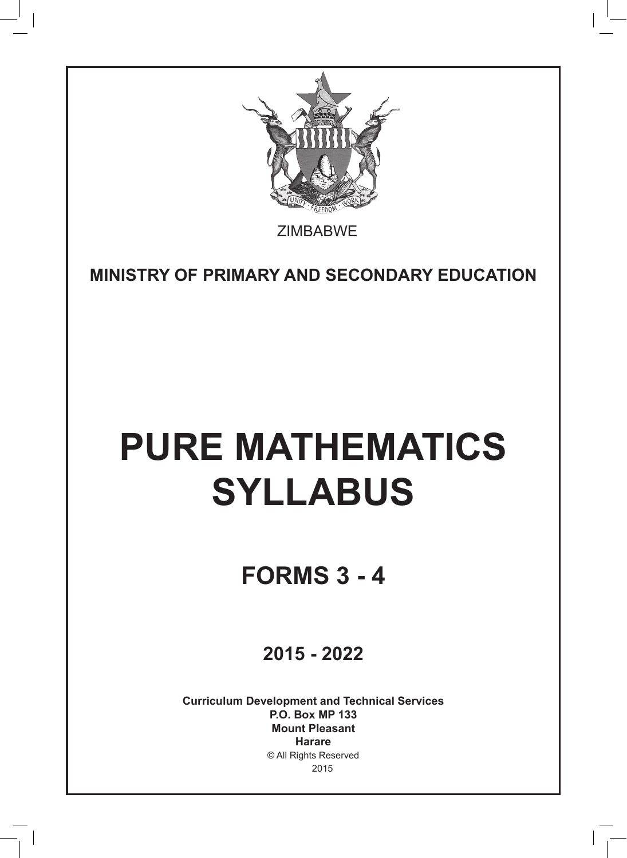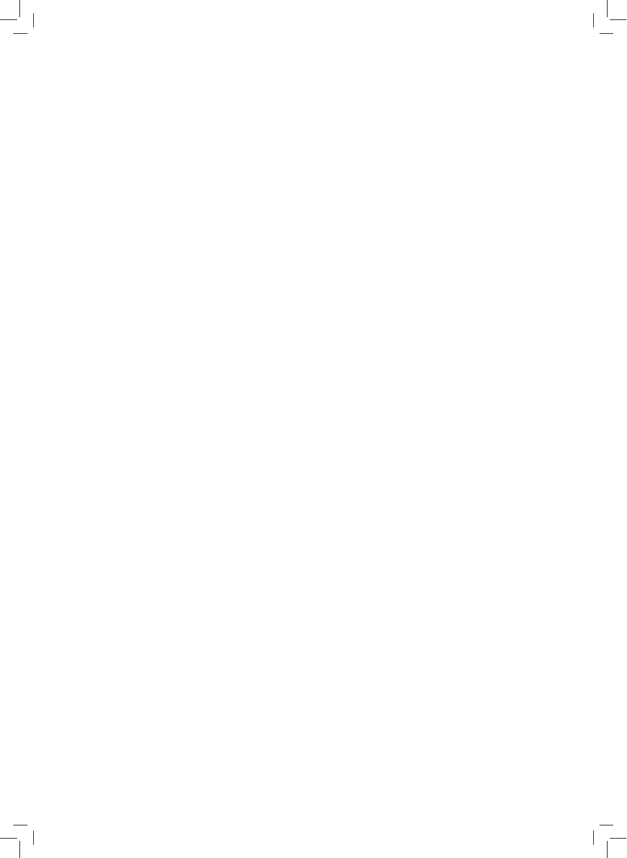$\frac{1}{\sqrt{1}}$  $\frac{1}{1}$ 

 $\frac{1}{\sqrt{1-\frac{1}{2}}}\Bigg|_{\frac{1}{2}}$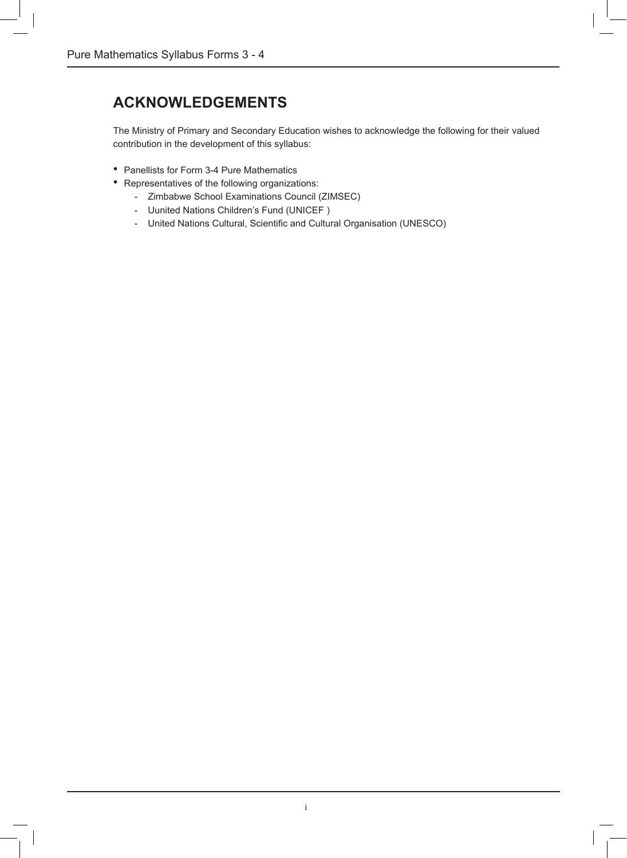## **ACKNOWLEDGEMENTS**

The Ministry of Primary and Secondary Education wishes to acknowledge the following for their valued contribution in the development of this syllabus:

- Panellists for Form 3-4 Pure Mathematics
- Representatives of the following organizations:
	- Zimbabwe School Examinations Council (ZIMSEC)
	- Uunited Nations Children's Fund (UNICEF )
	- United Nations Cultural, Scientific and Cultural Organisation (UNESCO)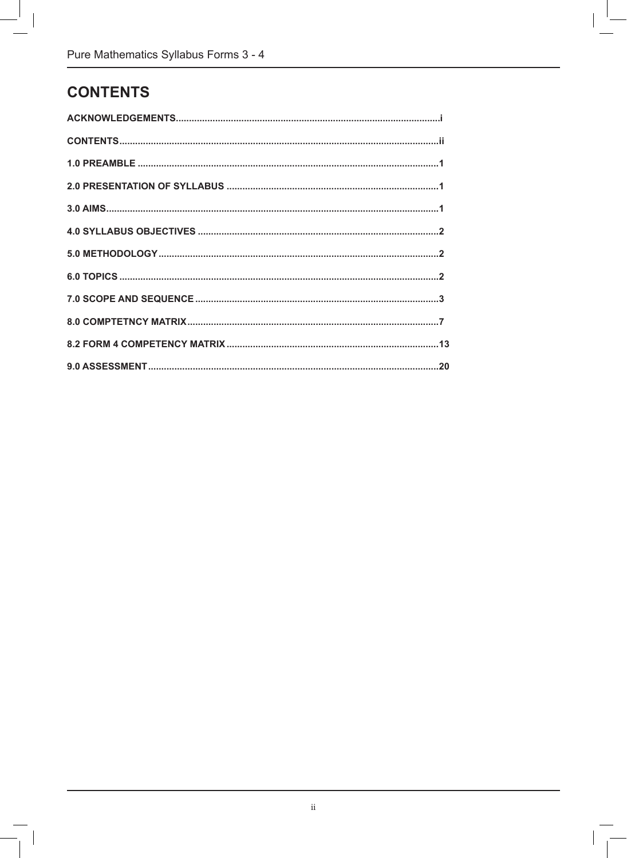## **CONTENTS**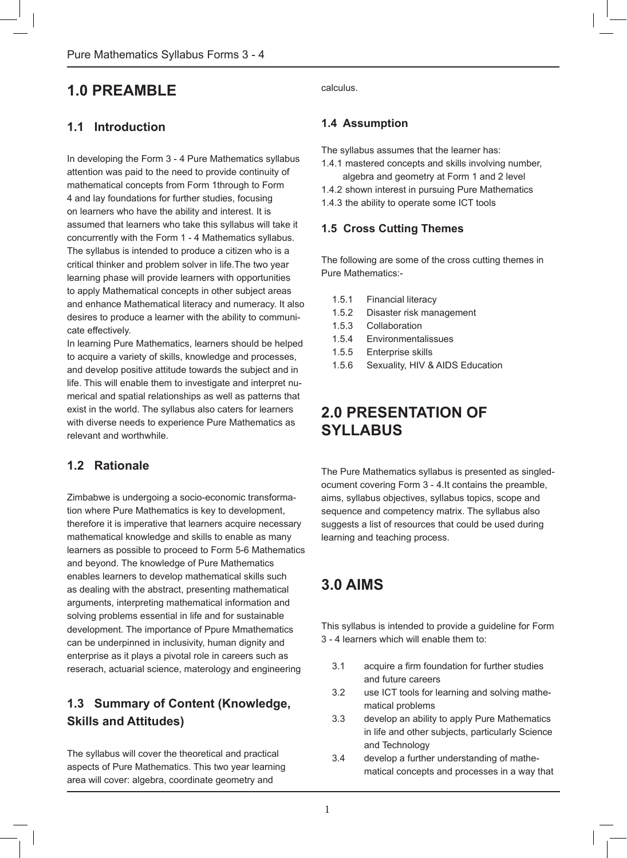## **1.0 PREAMBLE**

## **1.1 Introduction**

In developing the Form 3 - 4 Pure Mathematics syllabus attention was paid to the need to provide continuity of mathematical concepts from Form 1through to Form 4 and lay foundations for further studies, focusing on learners who have the ability and interest. It is assumed that learners who take this syllabus will take it concurrently with the Form 1 - 4 Mathematics syllabus. The syllabus is intended to produce a citizen who is a critical thinker and problem solver in life.The two year learning phase will provide learners with opportunities to apply Mathematical concepts in other subject areas and enhance Mathematical literacy and numeracy. It also desires to produce a learner with the ability to communicate effectively.

In learning Pure Mathematics, learners should be helped to acquire a variety of skills, knowledge and processes, and develop positive attitude towards the subject and in life. This will enable them to investigate and interpret numerical and spatial relationships as well as patterns that exist in the world. The syllabus also caters for learners with diverse needs to experience Pure Mathematics as relevant and worthwhile.

## **1.2 Rationale**

Zimbabwe is undergoing a socio-economic transformation where Pure Mathematics is key to development, therefore it is imperative that learners acquire necessary mathematical knowledge and skills to enable as many learners as possible to proceed to Form 5-6 Mathematics and beyond. The knowledge of Pure Mathematics enables learners to develop mathematical skills such as dealing with the abstract, presenting mathematical arguments, interpreting mathematical information and solving problems essential in life and for sustainable development. The importance of Ppure Mmathematics can be underpinned in inclusivity, human dignity and enterprise as it plays a pivotal role in careers such as reserach, actuarial science, materology and engineering

## **1.3 Summary of Content (Knowledge, Skills and Attitudes)**

The syllabus will cover the theoretical and practical aspects of Pure Mathematics. This two year learning area will cover: algebra, coordinate geometry and

calculus.

## **1.4 Assumption**

The syllabus assumes that the learner has:

- 1.4.1 mastered concepts and skills involving number, algebra and geometry at Form 1 and 2 level
- 1.4.2 shown interest in pursuing Pure Mathematics
- 1.4.3 the ability to operate some ICT tools

## **1.5 Cross Cutting Themes**

The following are some of the cross cutting themes in Pure Mathematics:-

- 1.5.1 Financial literacy
- 1.5.2 Disaster risk management
- 1.5.3 Collaboration
- 1.5.4 Environmentalissues
- 1.5.5 Enterprise skills
- 1.5.6 Sexuality, HIV & AIDS Education

## **2.0 PRESENTATION OF SYLLABUS**

The Pure Mathematics syllabus is presented as singledocument covering Form 3 - 4.It contains the preamble, aims, syllabus objectives, syllabus topics, scope and sequence and competency matrix. The syllabus also suggests a list of resources that could be used during learning and teaching process.

## **3.0 AIMS**

This syllabus is intended to provide a guideline for Form 3 - 4 learners which will enable them to:

- 3.1 acquire a firm foundation for further studies and future careers
- 3.2 use ICT tools for learning and solving mathematical problems
- 3.3 develop an ability to apply Pure Mathematics in life and other subjects, particularly Science and Technology
- 3.4 develop a further understanding of mathematical concepts and processes in a way that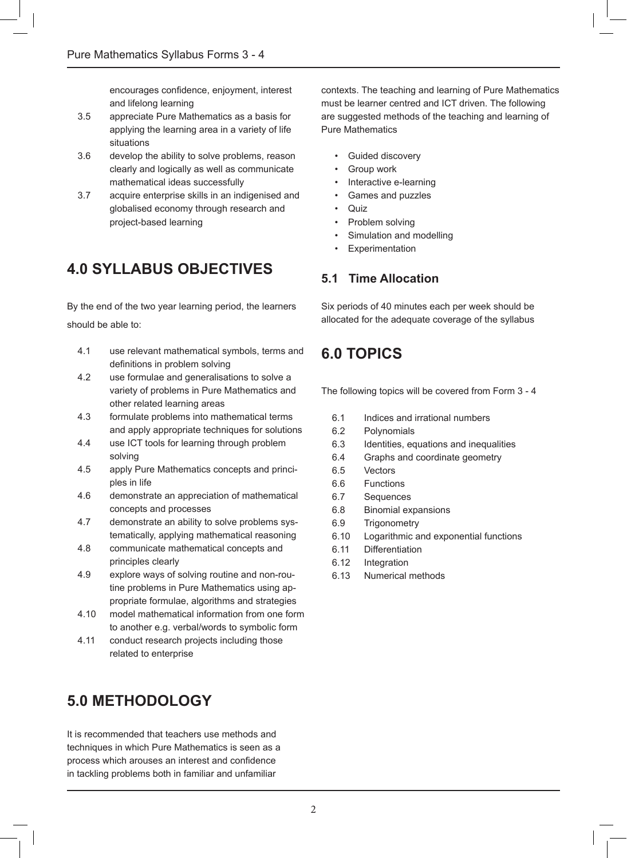encourages confidence, enjoyment, interest and lifelong learning

- 3.5 appreciate Pure Mathematics as a basis for applying the learning area in a variety of life situations
- 3.6 develop the ability to solve problems, reason clearly and logically as well as communicate mathematical ideas successfully
- 3.7 acquire enterprise skills in an indigenised and globalised economy through research and project-based learning

## **4.0 SYLLABUS OBJECTIVES**

By the end of the two year learning period, the learners should be able to:

- 4.1 use relevant mathematical symbols, terms and definitions in problem solving
- 4.2 use formulae and generalisations to solve a variety of problems in Pure Mathematics and other related learning areas
- 4.3 formulate problems into mathematical terms and apply appropriate techniques for solutions
- 4.4 use ICT tools for learning through problem solving
- 4.5 apply Pure Mathematics concepts and principles in life
- 4.6 demonstrate an appreciation of mathematical concepts and processes
- 4.7 demonstrate an ability to solve problems systematically, applying mathematical reasoning
- 4.8 communicate mathematical concepts and principles clearly
- 4.9 explore ways of solving routine and non-routine problems in Pure Mathematics using appropriate formulae, algorithms and strategies
- 4.10 model mathematical information from one form to another e.g. verbal/words to symbolic form
- 4.11 conduct research projects including those related to enterprise

## **5.0 METHODOLOGY**

It is recommended that teachers use methods and techniques in which Pure Mathematics is seen as a process which arouses an interest and confidence in tackling problems both in familiar and unfamiliar

contexts. The teaching and learning of Pure Mathematics must be learner centred and ICT driven. The following are suggested methods of the teaching and learning of Pure Mathematics

- Guided discovery
- Group work
- Interactive e-learning
- Games and puzzles
- Quiz
- Problem solving
- Simulation and modelling
- **Experimentation**

## **5.1 Time Allocation**

Six periods of 40 minutes each per week should be allocated for the adequate coverage of the syllabus

## **6.0 TOPICS**

The following topics will be covered from Form 3 - 4

- 6.1 Indices and irrational numbers
- 6.2 Polynomials
- 6.3 Identities, equations and inequalities
- 6.4 Graphs and coordinate geometry
- 6.5 Vectors
- 6.6 Functions
- 6.7 Sequences
- 6.8 Binomial expansions
- 6.9 Trigonometry
- 6.10 Logarithmic and exponential functions
- 6.11 Differentiation
- 6.12 Integration
- 6.13 Numerical methods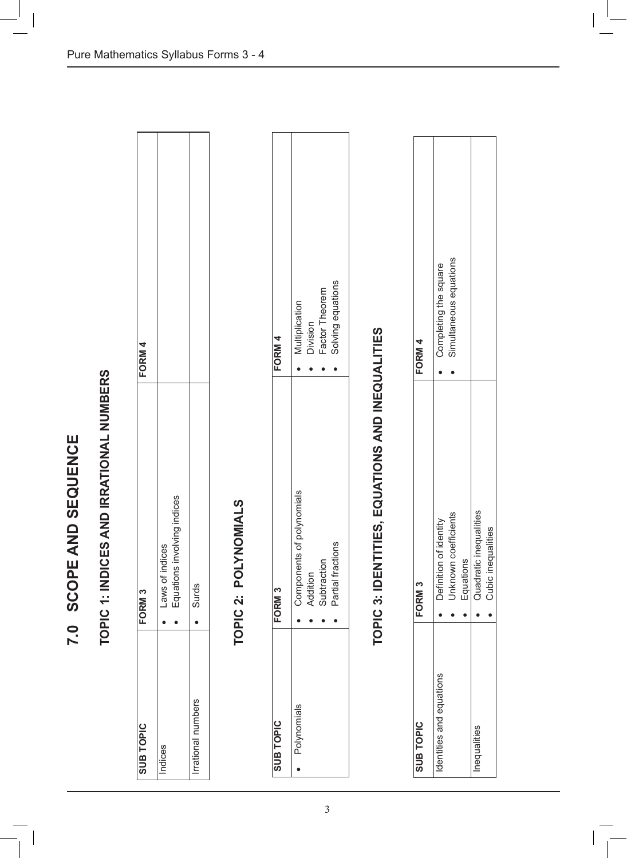|                    | AND SEQUENCE<br><b>7.0 SCOPE</b>               |        |
|--------------------|------------------------------------------------|--------|
|                    | TOPIC 1: INDICES AND IRRATIONAL NUMBERS        |        |
|                    |                                                |        |
| SUB TOPIC          | FORM <sub>3</sub>                              | FORM 4 |
| Indices            | Equations involving indices<br>Laws of indices |        |
| Irrational numbers | Surds                                          |        |
|                    | TOPIC 2: POLYNOMIALS                           |        |

| FORM 4            | Multiplication            | Division | Factor Theorem | Solving equations    |
|-------------------|---------------------------|----------|----------------|----------------------|
| FORM <sub>3</sub> | Components of polynomials | Addition | Subtraction    | fractions<br>Partial |
|                   |                           |          |                |                      |
| <b>SUB TOPIC</b>  | Polynomials               |          |                |                      |

# TOPIC 3: IDENTITIES, EQUATIONS AND INEQUALITIES **TOPIC 3: IDENTITIES, EQUATIONS AND INEQUALITIES**

**TOPIC 3: IDENTITIES, EQUATIONS AND INEQUALITIES** 

| FORM 4            | Completing the square      | Simultaneous equations |           |                        |                    |
|-------------------|----------------------------|------------------------|-----------|------------------------|--------------------|
| FORM <sub>3</sub> | n of identity<br>Definitio | Jnknown coefficients   | Equations | Quadratic inequalities | Cubic inequalities |
|                   |                            |                        |           |                        |                    |
|                   | dentities and equations    |                        |           |                        |                    |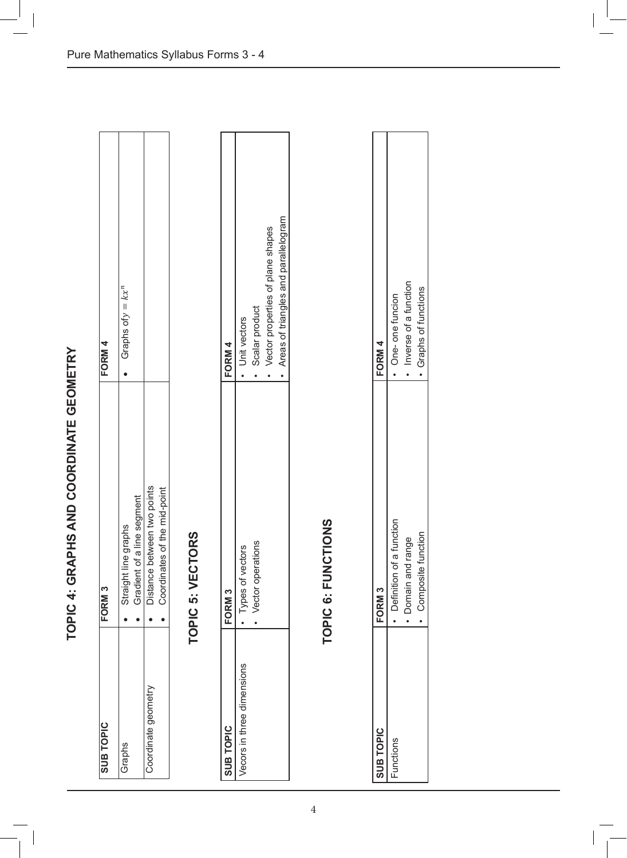|                     | TOPIC 4: GRAPHS AND COORDINATE GEOMETRY                       |                      |
|---------------------|---------------------------------------------------------------|----------------------|
| <b>SUB TOPIC</b>    | FORM <sub>3</sub>                                             | FORM 4               |
| Graphs              | Gradient of a line segment<br>graphs<br>Straight line         | Graphs of $y = kx^n$ |
| Coordinate geometry | Distance between two points<br>• Coordinates of the mid-point |                      |
|                     | TOPIC 5: VECTORS                                              |                      |

| <b>SUB TOPIC</b>          | FORM <sub>3</sub> | FORM 4                               |
|---------------------------|-------------------|--------------------------------------|
| ecors in three dimensions | Types of vectors  | Unit vectors                         |
|                           | ector operations  | Scalar product                       |
|                           |                   | Vector properties of plane shapes    |
|                           |                   | Areas of triangles and parallelogram |

## TOPIC 6: FUNCTIONS **TOPIC 6: FUNCTIONS**

| <b>SUB TOPIC</b> | FORM <sub>3</sub>            | FORM4                 |
|------------------|------------------------------|-----------------------|
| unctions         | n of a function<br>Definitio | One-one funcion       |
|                  | and range<br>· Domain        | Inverse of a function |
|                  | Composite function           | · Graphs of functions |

Pure Mathematics Syllabus Form 3 – 4 2016 8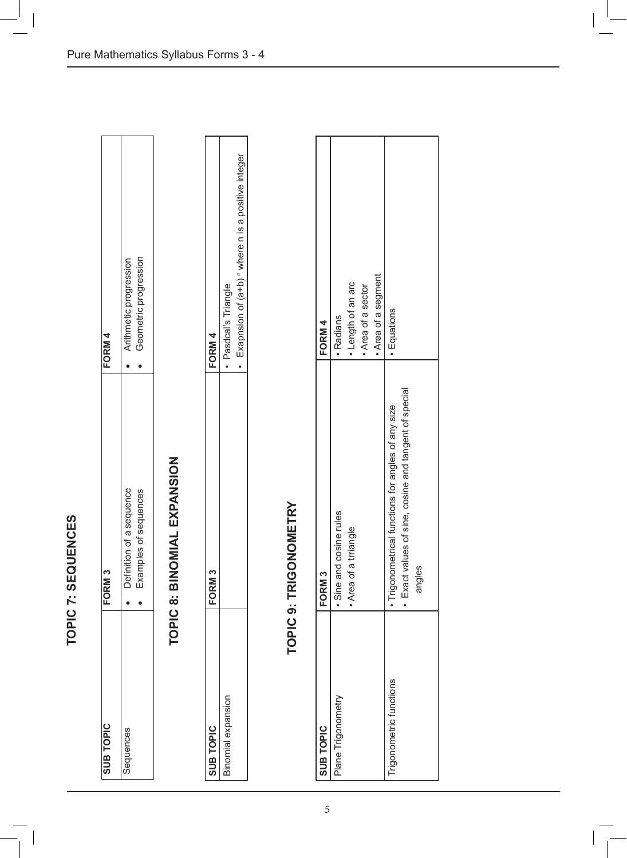| í<br>٦<br>٢ |
|-------------|
| ī<br>٠      |
| ī           |
|             |
|             |
|             |
|             |
|             |

**TOPIC 7: SEQUENCES**

 $\begin{array}{c} \hline \end{array}$ 

|                         | TOPIC 7: SEQUENCES                                                                                          |                                                                            |
|-------------------------|-------------------------------------------------------------------------------------------------------------|----------------------------------------------------------------------------|
| SUB TOPIC               | FORM <sub>3</sub>                                                                                           | FORM 4                                                                     |
| Sequences               | Definition of a sequence<br>Examples of sequences                                                           | Geometric progression<br>Arithmetic progression                            |
|                         | TOPIC 8: BINOMIAL EXPANSION                                                                                 |                                                                            |
| SUB TOPIC               | FORM <sub>3</sub>                                                                                           | FORM 4                                                                     |
| Binomial expansion      |                                                                                                             | Exapnsion of (a+b) " where n is a positive integer<br>· Pasdcal's Triangle |
|                         | TOPIC 9: TRIGONOMETRY                                                                                       |                                                                            |
| SUB TOPIC               | FORM <sub>3</sub>                                                                                           | FORM 4                                                                     |
| Plane Trigonometry      | · Sine and cosine rules                                                                                     | · Radians                                                                  |
|                         | . Area of a trriangle                                                                                       | . Area of a segment<br>. Length of an arc<br>. Area of a sector            |
| Trigonometric functions | • Exact values of sine, cosine and tangent of special<br>. Trigonometrical functions for angles of any size | · Equations                                                                |

Pure Mathematics Syllabus Form 3 – 4 2016 11

angles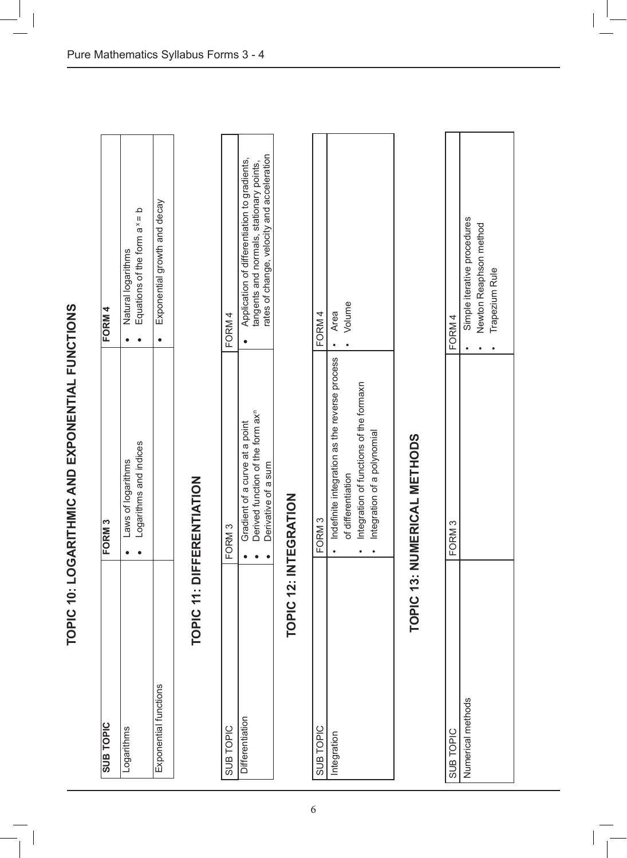| TOPIC 10: LOGARITHMIC AND EXPONENTIAL FUNCTIONS |  |  |
|-------------------------------------------------|--|--|
|                                                 |  |  |
|                                                 |  |  |

|                       | TOPIC 10: LOGARITHMIC AND EXPONENTIAL FUNCTIONS |                                                       |
|-----------------------|-------------------------------------------------|-------------------------------------------------------|
| <b>SUB TOPIC</b>      | FORM <sub>3</sub>                               | FORM 4                                                |
| Logarithms            | Logarithms and indices<br>Laws of logarithms    | Equations of the form $a^x = b$<br>Natural logarithms |
| Exponential functions |                                                 | $\bullet$ Exponential growth and decay                |
|                       | TOPIC 11: DIFFERENTIATION                       |                                                       |

| JUB TOPIC | ORM <sub>3</sub>                                                                                      | FORM4                                                                                                                                  |
|-----------|-------------------------------------------------------------------------------------------------------|----------------------------------------------------------------------------------------------------------------------------------------|
|           | Derived function of the form ax <sup>n</sup><br>Gradient of a curve at a point<br>Derivative of a sum | rates of change, velocity and acceleration<br>Application of differentiation to gradients,<br>tangents and normals, stationary points, |

## TOPIC 12: INTEGRATION **TOPIC 12: INTEGRATION**

| SUB TOPIC | FORM <sub>3</sub>                                      | FORM 4 |
|-----------|--------------------------------------------------------|--------|
| tegration | Indefinite integration as the reverse process   • Area |        |
|           | of differentiation                                     | Volume |
|           | integration of functions of the formaxn                |        |
|           | Integration of a polynomial                            |        |
|           |                                                        |        |
|           |                                                        |        |

## TOPIC 13: NUMERICAL METHODS **TOPIC 13: NUMERICAL METHODS**

| FORM4             | Simple iterative procedures<br>Newton Reaphson method<br>Trapezium Rule |  |
|-------------------|-------------------------------------------------------------------------|--|
| FORM <sub>3</sub> |                                                                         |  |
| SUB TOPIC         | erical method:                                                          |  |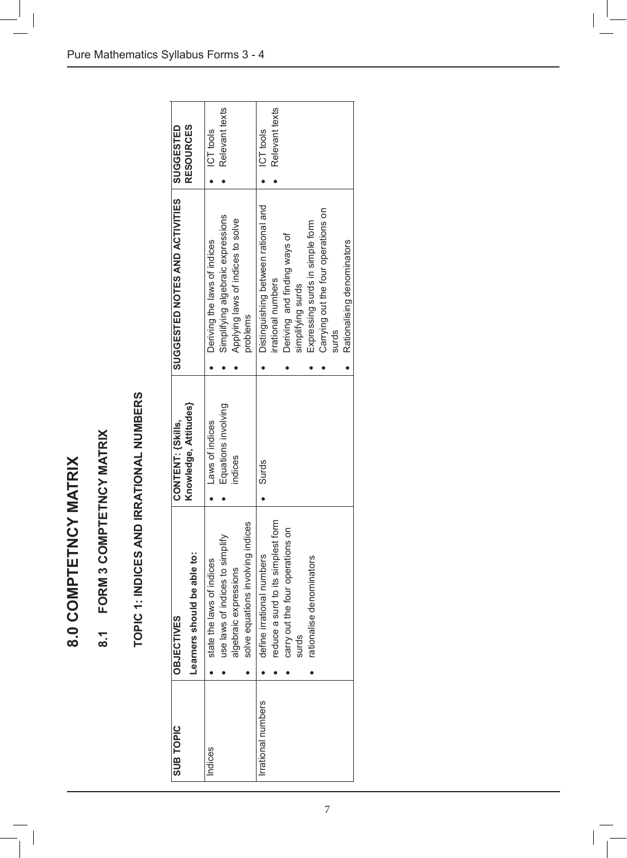8.0 COMPTETNCY MATRIX **8.0 COMPTETNCY MATRIX**

 $\overline{\phantom{a}}$ 

FNCY MATRIX FORM 3 COMPTETNCY MATRIX  $8.1$ 

## TOPIC 1: INDICES AND IRRATIONAL NUMBERS 8.1 FORM 3 COMPTETNCY MATRIX<br>TOPIC 1: INDICES AND IRRATIONAL NUMBERS

| <b>SUB TOPIC</b>   | <b>OBJECTIVES</b>                  | <b>CONTENT: {Skills,</b> | SUGGESTED NOTES AND ACTIVITES       | <b>SUGGESTED</b> |
|--------------------|------------------------------------|--------------------------|-------------------------------------|------------------|
|                    | Learners should be able to:        | Knowledge, Attitudes}    |                                     | <b>RESOURCES</b> |
| Indices            | state the laws of indices          | Laws of indices          | Deriving the laws of indices        | ICT tools        |
|                    | use laws of indices to simplify    | Equations involving      | Simplifying algebraic expressions   | Relevant texts   |
|                    | algebraic expressions              | indices                  | Applying laws of indices to solve   |                  |
|                    | solve equations involving indices  |                          | problems                            |                  |
| Irrational numbers | define irrational numbers          | <b>Surds</b>             | Distinguishing between rational and | ICT tools        |
|                    | reduce a surd to its simplest form |                          | irrational numbers                  | Relevant texts   |
|                    | carry out the four operations on   |                          | Deriving and finding ways of        |                  |
|                    | surds                              |                          | simplifying surds                   |                  |
|                    | rationalise denominators           |                          | Expressing surds in simple form     |                  |
|                    |                                    |                          | Carrying out the four operations on |                  |
|                    |                                    |                          | surds                               |                  |
|                    |                                    |                          | Rationalising denominators          |                  |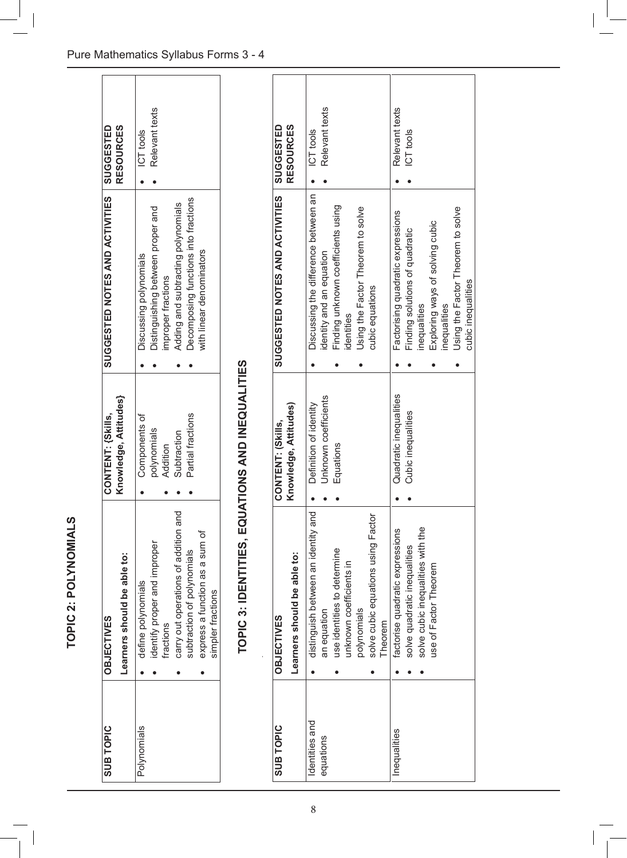|                  | TOPIC 2: POLYNOMIALS                                |                          |                                                |                  |
|------------------|-----------------------------------------------------|--------------------------|------------------------------------------------|------------------|
| <b>SUB TOPIC</b> | <b>OBJECTIVES</b>                                   | <b>CONTENT: {Skills,</b> | SUGGESTED NOTES AND ACTIVITIES                 | SUGGESTED        |
|                  | Learners should be able to:                         | Knowledge, Attitudes}    |                                                | <b>RESOURCES</b> |
| Polynomials      | define polynomials                                  | Components of            | Discussing polynomials                         | ICT tools        |
|                  | identify proper and improper                        | polynomials              | Distinguishing between proper and              | Relevant texts   |
|                  | fractions                                           | Addition                 | improper fractions                             |                  |
|                  | carry out operations of addition and                | Subtraction              | Adding and subtracting polynomials             |                  |
|                  | subtraction of polynomials                          | Partial fractions        | Decomposing functions into fractions           |                  |
|                  | express a function as a sum of<br>simpler fractions |                          | with linear denominators                       |                  |
|                  |                                                     |                          |                                                |                  |
|                  | TOPIC 3: IDENTITIES, EQUATIONS AND INEQUALITIES     |                          |                                                |                  |
|                  |                                                     |                          |                                                |                  |
| SUB TOPIC        | <b>OBJECTIVES</b>                                   | CONTENT: (Skills,        | SUGGESTED NOTES AND ACTIVITIES                 | <b>SUGGESTED</b> |
|                  | Learners should be able to:                         | Knowledge, Attitudes)    |                                                | <b>RESOURCES</b> |
| Identities and   | distinguish between an identity and                 | Definition of identity   | Discussing the difference between an           | ICT tools        |
| equations        | an equation                                         | Unknown coefficients     | identity and an equation                       | Relevant texts   |
|                  | use identities to determine                         | Equations                | Finding unknown coefficients using             |                  |
|                  | unknown coefficients in                             |                          | dentities                                      |                  |
|                  | polynomials                                         |                          | Using the Factor Theorem to solve              |                  |
|                  | solve cubic equations using Factor<br>Theorem       |                          | cubic equations                                |                  |
| Inequalities     | factorise quadratic expressions                     | Quadratic inequalities   | Factorising quadratic expressions              | Relevant texts   |
|                  | solve quadratic inequalities                        | Cubic inequalities       | Finding solutions of quadratic                 | ICT tools        |
|                  | solve cubic inequalities with the                   |                          | inequalities                                   |                  |
|                  | use of Factor Theorem                               |                          | Exploring ways of solving cubic<br>nequalities |                  |
|                  |                                                     |                          | Jsing the Factor Theorem to solve              |                  |
|                  |                                                     |                          | cubic inequalities                             |                  |

Pure Mathematics Syllabus Forms 3 - 4

**SUB TOPIC OBJECTIVES**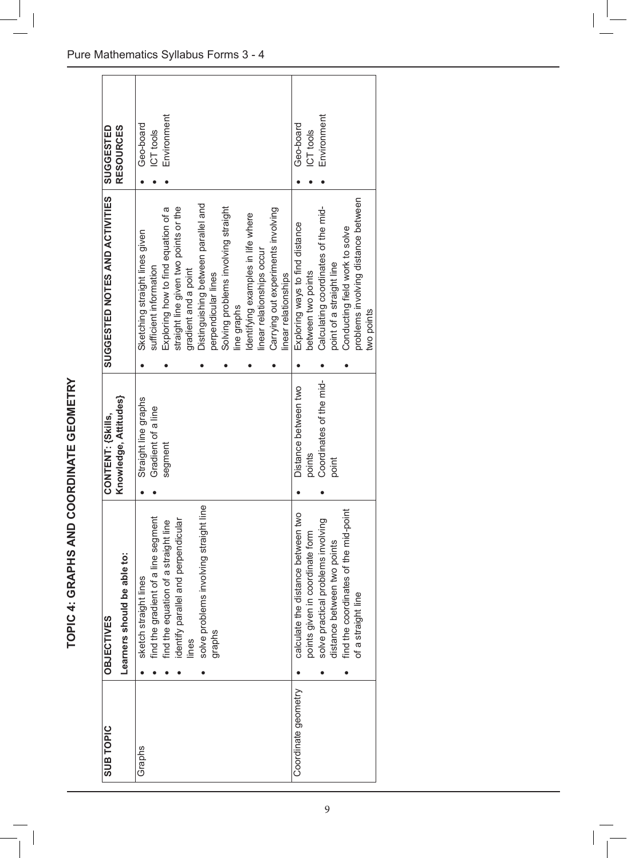| ֖֚֓<br>ì                                                                                          |  |
|---------------------------------------------------------------------------------------------------|--|
| ľ<br>I<br>ׅ֦֧ׅ֧֧֧֦֧֚֚֚֚֚֚֚֚֚֚֚֚֚֚֚֚֚֚֕֕֝֓֕֓֡֓֡֓֡֡֓֡֡֡֡֡֡֬֝֓֓֡֡֓֓֝֬֝֓<br>iF <iddd<br>CCC</iddd<br> |  |
| i                                                                                                 |  |
| $\frac{1}{6}$                                                                                     |  |
| l<br>(                                                                                            |  |

| <b>SUB TOPIC</b>    | <b>OBJECTIVES</b>                      | CONTENT: {Skills,                                                              | SUGGESTED NOTES AND ACTIVITIES        | <b>SUGGESTED</b> |
|---------------------|----------------------------------------|--------------------------------------------------------------------------------|---------------------------------------|------------------|
|                     | Learners should be able to:            | <nowledge, attitudes}<="" th=""><th></th><th><b>RESOURCES</b></th></nowledge,> |                                       | <b>RESOURCES</b> |
| Graphs              | sketch straight lines                  | Straight line graphs                                                           | Sketching straight lines given        | Geo-board        |
|                     | find the gradient of a line segment    | Gradient of a line                                                             | sufficient information                | ICT tools        |
|                     | find the equation of a straight line   | segment                                                                        | Exploring how to find equation of a   | Environment      |
|                     | identify parallel and perpendicular    |                                                                                | straight line given two points or the |                  |
|                     | lines                                  |                                                                                | gradient and a point                  |                  |
|                     | solve problems involving straight line |                                                                                | Distinguishing between parallel and   |                  |
|                     | graphs                                 |                                                                                | perpendicular lines                   |                  |
|                     |                                        |                                                                                | Solving problems involving straight   |                  |
|                     |                                        |                                                                                | ine graphs                            |                  |
|                     |                                        |                                                                                | dentifying examples in life where     |                  |
|                     |                                        |                                                                                | linear relationships occur            |                  |
|                     |                                        |                                                                                | Carrying out experiments involving    |                  |
|                     |                                        |                                                                                | linear relationships                  |                  |
| Coordinate geometry | calculate the distance between two     | Distance between two                                                           | Exploring ways to find distance       | Geo-board        |
|                     | points given in coordinate form        | points                                                                         | between two points                    | ICT tools        |
|                     | solve practical problems involving     | Coordinates of the mid-                                                        | Calculating coordinates of the mid-   | Environment      |
|                     | distance between two points            | point                                                                          | point of a straight line              |                  |
|                     | find the coordinates of the mid-point  |                                                                                | Conducting field work to solve        |                  |
|                     | of a straight line                     |                                                                                | problems involving distance between   |                  |
|                     |                                        |                                                                                | two points                            |                  |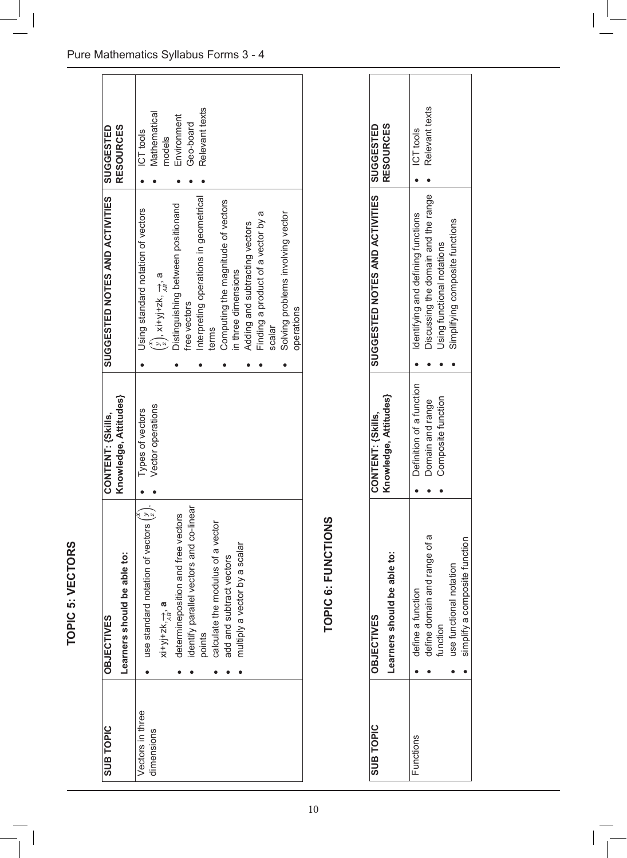| í  |
|----|
|    |
|    |
|    |
|    |
|    |
| ı  |
| ī  |
| LО |
|    |
|    |
|    |
|    |
|    |

| SUB TOPIC                      | <b>OBJECTIVES</b>                                                                                                                                                                                                                                                                                    | CONTENT: {Skills,                     | SUGGESTED NOTES AND ACTIVITIES                                                                                                                                                                                                                                                                                                                                                                            | SUGGESTED                                                                         |
|--------------------------------|------------------------------------------------------------------------------------------------------------------------------------------------------------------------------------------------------------------------------------------------------------------------------------------------------|---------------------------------------|-----------------------------------------------------------------------------------------------------------------------------------------------------------------------------------------------------------------------------------------------------------------------------------------------------------------------------------------------------------------------------------------------------------|-----------------------------------------------------------------------------------|
|                                | Learners should be able to:                                                                                                                                                                                                                                                                          | Knowledge, Attitudes}                 |                                                                                                                                                                                                                                                                                                                                                                                                           | <b>RESOURCES</b>                                                                  |
| Vectors in three<br>dimensions | identify parallel vectors and co-linear<br>use standard notation of vectors $\begin{pmatrix} y \\ z \end{pmatrix}$<br>determineposition and free vectors<br>calculate the modulus of a vector<br>multiply a vector by a scalar<br>add and subtract vectors<br>$x$ i+yj+zk, $\rightarrow A$<br>points | Vector operations<br>Types of vectors | Interpreting operations in geometrical<br>Computing the magnitude of vectors<br>Distinguishing between positionand<br>Using standard notation of vectors<br>Solving problems involving vector<br>Finding a product of a vector by a<br>Adding and subtracting vectors<br>in three dimensions<br>$\left(\frac{x}{z}\right)$ , xi+yj+zk, $\rightarrow$ , a<br>free vectors<br>operations<br>scalar<br>terms | Relevant texts<br>Mathematical<br>Environment<br>Geo-board<br>ICT tools<br>models |

| ł<br>י<br>l<br>í<br>Ï<br>۱<br>I<br>į |  |
|--------------------------------------|--|

| <b>RESOURCES</b>                                 | Relevant texts<br>ICT tools                                                                                                                                               |
|--------------------------------------------------|---------------------------------------------------------------------------------------------------------------------------------------------------------------------------|
| SUGGESTED NOTES AND ACTIVITIES   SUGESTED        | Discussing the domain and the range<br>• Definition of a function   • Identifying and defining functions<br>Simplifying composite functions<br>Jsing functional notations |
| Knowledge, Attitudes}<br>CONTENT: {Skills,       | Composite function<br>Domain and range                                                                                                                                    |
| Learners should be able to:<br><b>OBJECTIVES</b> | define domain and range of a<br>simplify a composite function<br>use functional notation<br>define a function<br>unction                                                  |
| <b>SUB TOPIC</b>                                 | <b>Functions</b>                                                                                                                                                          |

 $\mathbf{r}$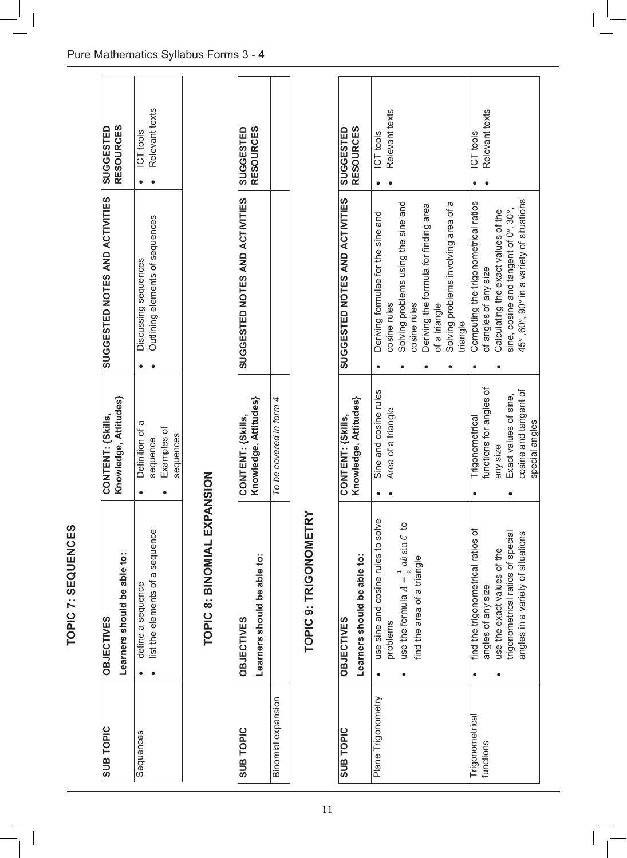|                              | TOPIC 7: SEQUENCES                                                                                                                                                             |                                                                                                                                         |                                                                                                                                                                                                                                      |                                          |
|------------------------------|--------------------------------------------------------------------------------------------------------------------------------------------------------------------------------|-----------------------------------------------------------------------------------------------------------------------------------------|--------------------------------------------------------------------------------------------------------------------------------------------------------------------------------------------------------------------------------------|------------------------------------------|
| <b>SUB TOPIC</b>             | Learners should be able to:<br><b>OBJECTIVES</b>                                                                                                                               | Knowledge, Attitudes}<br><b>CONTENT: {Skills</b>                                                                                        | SUGGESTED NOTES AND ACTIVITIES                                                                                                                                                                                                       | <b>RESOURCES</b><br><b>SUGGESTED</b>     |
| Sequences                    | list the elements of a sequence<br>define a sequence<br>$\bullet$                                                                                                              | Definition of a<br>Examples of<br>sequences<br>sequence                                                                                 | Outlining elements of sequences<br>Discussing sequences<br>$\bullet$                                                                                                                                                                 | Relevant texts<br>ICT tools<br>$\bullet$ |
|                              | TOPIC 8: BINOMIAL EXPANSION                                                                                                                                                    |                                                                                                                                         |                                                                                                                                                                                                                                      |                                          |
| SUB TOPIC                    | Learners should be able to:<br><b>OBJECTIVES</b>                                                                                                                               | CONTENT: {Skills,<br>Knowledge, Attitudes}                                                                                              | SUGGESTED NOTES AND ACTIVITIES                                                                                                                                                                                                       | <b>RESOURCES</b><br>SUGGESTED            |
| Binomial expansion           |                                                                                                                                                                                | To be covered in form 4                                                                                                                 |                                                                                                                                                                                                                                      |                                          |
|                              | TOPIC 9: TRIGONOMETRY                                                                                                                                                          |                                                                                                                                         |                                                                                                                                                                                                                                      |                                          |
| SUB TOPIC                    | Learners should be able to:<br><b>OBJECTIVES</b>                                                                                                                               | CONTENT: {Skills,<br>Knowledge, Attitudes}                                                                                              | SUGGESTED NOTES AND ACTIVITIES                                                                                                                                                                                                       | <b>RESOURCES</b><br>SUGGESTED            |
| Plane Trigonometry           | use sine and cosine rules to solve<br>use the formula $A = \frac{1}{2} ab \sin C$ to<br>find the area of a triangle<br>problems<br>$\bullet$                                   | Sine and cosine rules<br>Area of a triangle<br>$\bullet$                                                                                | Solving problems involving area of a<br>Solving problems using the sine and<br>Deriving the formula for finding area<br>Deriving formulae for the sine and<br>cosine rules<br>cosine rules<br>of a triangle<br>triangle<br>$\bullet$ | Relevant texts<br>ICT tools<br>$\bullet$ |
| Trigonometrical<br>functions | find the trigonometrical ratios of<br>trigonometrical ratios of special<br>angles in a variety of situations<br>use the exact values of the<br>angles of any size<br>$\bullet$ | functions for angles of<br>cosine and tangent of<br>Exact values of sine,<br>Trigonometrical<br>special angles<br>any size<br>$\bullet$ | 45°, 60°, 90° in a variety of situations<br>Computing the trigonometrical ratios<br>sine, cosine and tangent of 0°, 30°,<br>Calculating the exact values of the<br>of angles of any size                                             | Relevant texts<br>ICT tools              |

Pure Mathematics Syllabus Forms 3 - 4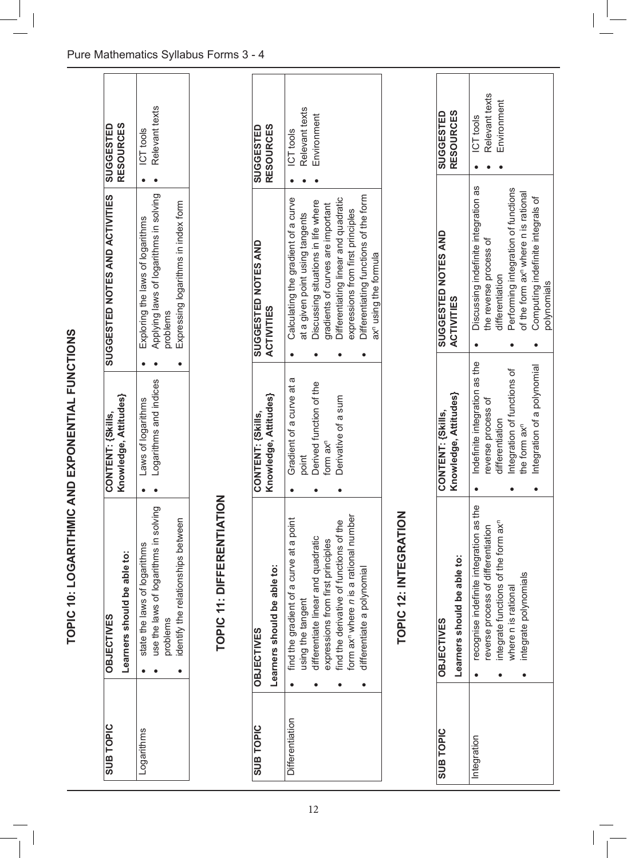| i<br>i<br>i             |
|-------------------------|
|                         |
|                         |
| į                       |
|                         |
|                         |
|                         |
|                         |
| ֚֚֡֬<br>֧֚֚֚֚֚֚֚֚֚֚֚֚֚  |
| $\frac{1}{2}$           |
| $\frac{1}{2}$           |
|                         |
|                         |
|                         |
|                         |
| i<br>:                  |
|                         |
|                         |
|                         |
|                         |
|                         |
|                         |
|                         |
|                         |
|                         |
|                         |
| į                       |
|                         |
|                         |
|                         |
| Ì                       |
|                         |
|                         |
|                         |
|                         |
| $\overline{\mathbf{C}}$ |
|                         |

|            | TOPIC 10: LOGARITHMIC AND EXPONENTIAL FUNCTIONS                                                                         |                                                   |                                                                                                                               |                             |
|------------|-------------------------------------------------------------------------------------------------------------------------|---------------------------------------------------|-------------------------------------------------------------------------------------------------------------------------------|-----------------------------|
| SUB TOPIC  | Learners should be able to:<br><b>OBJECTIVES</b>                                                                        | Knowledge, Attitudes}<br><b>CONTENT: {Skills,</b> | SUGGESTED NOTES AND ACTIVITIES   SUGGESTED                                                                                    | <b>RESOURCES</b>            |
| Logarithms | use the laws of logarithms in solving<br>identify the relationships between<br>state the laws of logarithms<br>problems | Logarithms and indices<br>Laws of logarithms      | Applying laws of logarithms in solving<br>Expressing logarithms in index form<br>Exploring the laws of logarithms<br>problems | Relevant texts<br>ICT tools |
|            | TOPIC 11: DIFFERENTIATION                                                                                               |                                                   |                                                                                                                               |                             |

| <b>SUB TOPIC</b>  | <b>OBJECTIVES</b>                                 | CONTENT: {Skills,        | SUGGESTED NOTES AND                   | <b>SUGGESTED</b> |  |
|-------------------|---------------------------------------------------|--------------------------|---------------------------------------|------------------|--|
|                   | Learners should be able to:                       | Knowledge, Attitudes}    | <b>ACTIVITIES</b>                     | <b>RESOURCES</b> |  |
| Differentiation   | find the gradient of a curve at a point           | Gradient of a curve at a | Calculating the gradient of a curve   | ICT tools        |  |
|                   | using the tangent                                 | point                    | at a given point using tangents       | Relevant texts   |  |
|                   | differentiate linear and quadratic                | Derived function of the  | Discussing situations in life where   | Environment      |  |
|                   | expressions from first principles                 | form ax <sup>n</sup>     | gradients of curves are important     |                  |  |
|                   | find the derivative of functions of the           | Derivative of a sum      | Differentiating linear and quadratic  |                  |  |
|                   | form ax <sup>n</sup> where n is a rational number |                          | expressions from first principles     |                  |  |
|                   | differentiate a polynomial                        |                          | Differentiating functions of the form |                  |  |
|                   |                                                   |                          | ax <sup>n</sup> using the formula     |                  |  |
|                   |                                                   |                          |                                       |                  |  |
|                   | TOPIC 12: INTEGRATION                             |                          |                                       |                  |  |
|                   |                                                   |                          |                                       |                  |  |
| <b>CIIR TODIC</b> | <b>NAIRIECTIVES</b>                               | <b>CONTENT-TAGE</b>      | <b>QIICCESTED NOTES AND</b>           | CICECTED         |  |

| <b>SUB TOPIC</b> | -earners should be able to:<br><b>OBJECTIVES</b> | Knowledge, Attitudes}<br><b>CONTENT: {Skills,</b> | SUGGESTED NOTES AND<br><b>ACTIVITIES</b>        | <b>RESOURCES</b><br>SUGGESTED |
|------------------|--------------------------------------------------|---------------------------------------------------|-------------------------------------------------|-------------------------------|
| ntegration       | recognise indefinite integration as the          | Indefinite integration as the                     | Discussing indefinite integration as            | ICT tools                     |
|                  | reverse process of differentiation               | reverse process of                                | the reverse process of                          | Relevant texts                |
|                  | ntegrate functions of the form ax <sup>n</sup>   | differentiation                                   | differentiation                                 | Environment                   |
|                  | where n is rational                              | Integration of functions of                       | Performing integration of functions             |                               |
|                  | integrate polynomials                            | the form ax <sup>n</sup>                          | of the form ax <sup>n</sup> where n is rational |                               |
|                  |                                                  | Integration of a polynomial                       | Computing indefinite integrals of               |                               |
|                  |                                                  |                                                   | polynomials                                     |                               |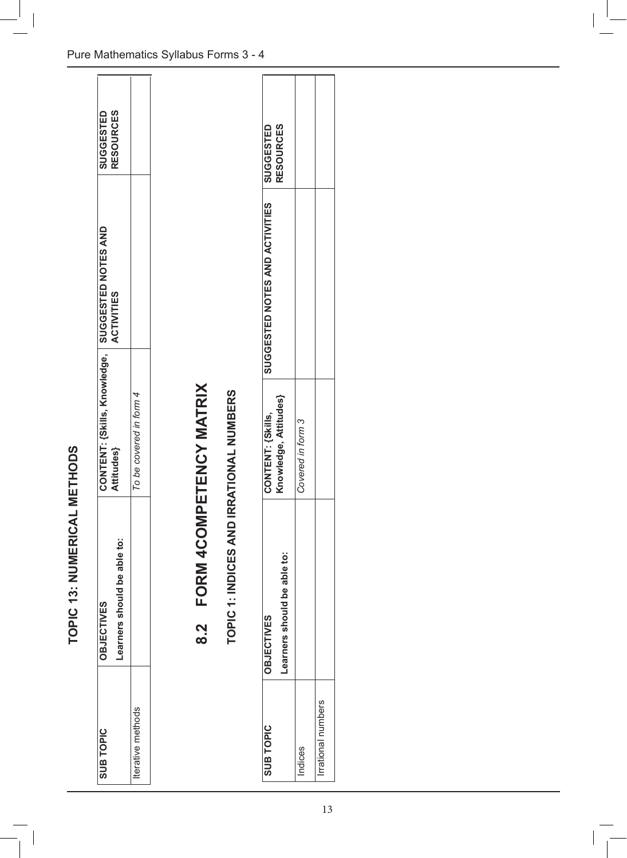| TOPIC 13: NUMERICAL METHODS | <b>RESOURCES</b><br>SUGGESTED<br>SUGGESTED NOTES AND<br><b>ACTIVITIES</b><br>CONTENT: {Skills, Knowledge,<br>Attitudes}<br>Learners should be able to:<br><b>OBJECTIVES</b> | To be covered in form 4 | <b><i>TENCY MATRIX</i></b><br>FORM 4COMPET<br><u>ุด</u><br>8. | TOPIC 1: INDICES AND IRRATIONAL NUMBERS | <b>RESOURCES</b><br><b>SUGGESTED</b><br>SUGGESTED NOTES AND ACTIVITIES<br>Knowledge, Attitudes}<br>CONTENT: {Skills,<br>Learners should be able to:<br><b>OBJECTIVES</b> | Covered in form 3 |                    |
|-----------------------------|-----------------------------------------------------------------------------------------------------------------------------------------------------------------------------|-------------------------|---------------------------------------------------------------|-----------------------------------------|--------------------------------------------------------------------------------------------------------------------------------------------------------------------------|-------------------|--------------------|
|                             | <b>SUB TOPIC</b>                                                                                                                                                            | Iterative methods       |                                                               |                                         | SUB TOPIC                                                                                                                                                                | Indices           | Irrational numbers |

Pure Mathematics Syllabus Forms 3 - 4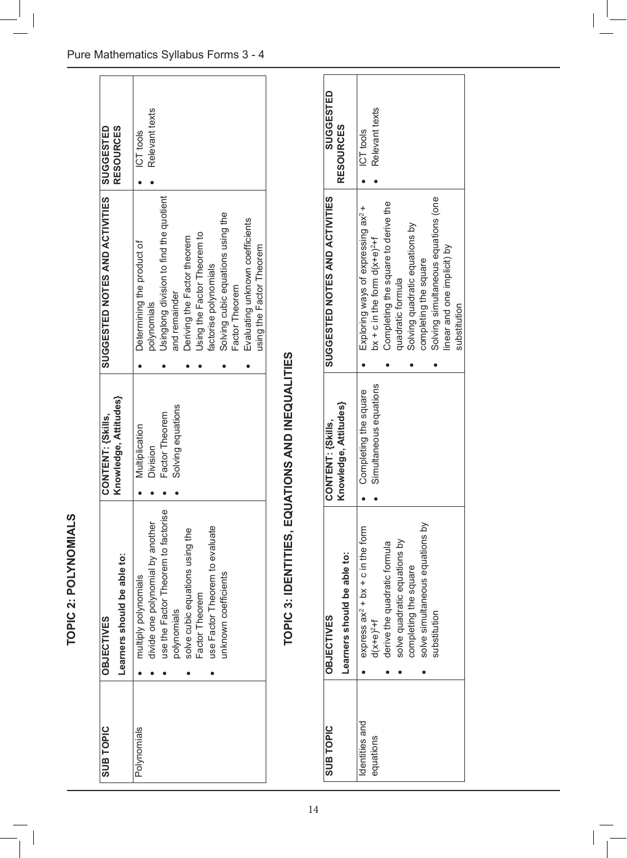|                             | TOPIC 2: POLYNOMIALS                                                                                                                                                                                                                       |                                                                   |                                                                                                                                                                                                                                                                                                                    |                                          |
|-----------------------------|--------------------------------------------------------------------------------------------------------------------------------------------------------------------------------------------------------------------------------------------|-------------------------------------------------------------------|--------------------------------------------------------------------------------------------------------------------------------------------------------------------------------------------------------------------------------------------------------------------------------------------------------------------|------------------------------------------|
| <b>SUB TOPIC</b>            | Learners should be able to:<br><b>OBJECTIVES</b>                                                                                                                                                                                           | CONTENT: {Skills,<br>Knowledge, Attitudes}                        | SUGGESTED NOTES AND ACTIVITIES                                                                                                                                                                                                                                                                                     | <b>RESOURCES</b><br><b>SUGGESTED</b>     |
| Polynomials                 | use the Factor Theorem to factorise<br>divide one polynomial by another<br>use Factor Theorem to evaluate<br>solve cubic equations using the<br>unknown coefficients<br>multiply polynomials<br>Factor Theorem<br>polynomials<br>$\bullet$ | Solving equations<br>Factor Theorem<br>Multiplication<br>Division | Usinglong division to find the quotient<br>Solving cubic equations using the<br>Evaluating unknown coefficients<br>Using the Factor Theorem to<br>Deriving the Factor theorem<br>Determining the product of<br>using the Factor Theorem<br>factorise polynomials<br>Factor Theorem<br>and remainder<br>polynomials | Relevant texts<br>ICT tools<br>$\bullet$ |
|                             | TOPIC 3: IDENTITIES, EQUATIONS AND INEQUALITIES                                                                                                                                                                                            |                                                                   |                                                                                                                                                                                                                                                                                                                    |                                          |
| SUB TOPIC                   | Learners should be able to:<br><b>OBJECTIVES</b>                                                                                                                                                                                           | Knowledge, Attitudes}<br>CONTENT: {Skills,                        | SUGGESTED NOTES AND ACTIVITIES                                                                                                                                                                                                                                                                                     | SUGGESTED<br><b>RESOURCES</b>            |
| Identities and<br>equations | solve simultaneous equations by<br>express $ax^2 + bx + c$ in the form<br>solve quadratic equations by<br>derive the quadratic formula<br>completing the square<br>substitution<br>$d(x+e)^{2}+f$                                          | Simultaneous equations<br>Completing the square                   | Solving simultaneous equations (one<br>Completing the square to derive the<br>Exploring ways of expressing ax <sup>2</sup> +<br>Solving quadratic equations by<br>$bx + c$ in the form $d(x+e)^{2+f}$<br>linear and one implicit) by<br>completing the square<br>quadratic formula<br>substitution                 | Relevant texts<br>ICT tools              |

Pure Mathematics Syllabus Forms 3 - 4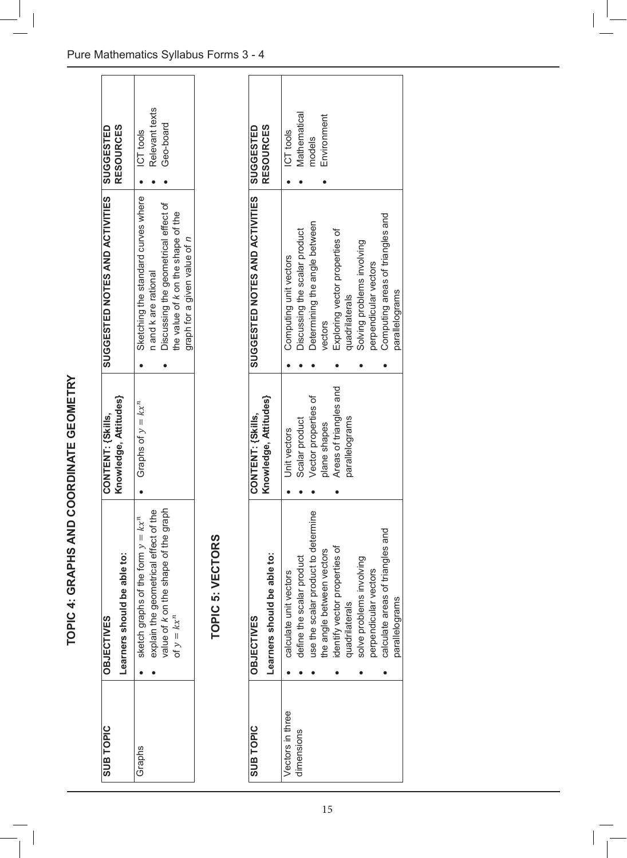| ׇ֘֝                   |  |
|-----------------------|--|
| ׇ֚֡֬<br>i<br>Í<br>くくく |  |
| ľ<br>i<br>-<br>C      |  |
| ï                     |  |

| <b>SUB TOPIC</b> | <b>OBJECTIVES</b>                     | CONTENT: {Skills,     | SUGGESTED NOTES AND ACTIVITIES   SUGGESTED |                  |  |
|------------------|---------------------------------------|-----------------------|--------------------------------------------|------------------|--|
|                  | Learners should be able to:           | Knowledge, Attitudes} |                                            | <b>RESOURCES</b> |  |
| Graphs           | sketch graphs of the form $y = kx^n$  | Graphs of $y = kx^n$  | Sketching the standard curves where        | ICT tools        |  |
|                  | explain the geometrical effect of the |                       | n and k are rational                       | Relevant texts   |  |
|                  | value of k on the shape of the graph  |                       | Discussing the geometrical effect of       | Geo-board        |  |
|                  | of $y = kx^n$                         |                       | the value of k on the shape of the         |                  |  |
|                  |                                       |                       | graph for a given value of n               |                  |  |

| ٢ |
|---|
|   |
|   |
|   |
|   |
|   |
|   |
| ı |
| ١ |
|   |
|   |
|   |
|   |
|   |
|   |

| <b>SUB TOPIC</b> | <b>OBJECTIVES</b>                   | <b>CONTENT: {Skills,</b> | SUGGESTED NOTES AND ACTIVITIES   | <b>SUGGESTED</b> |
|------------------|-------------------------------------|--------------------------|----------------------------------|------------------|
|                  | Learners should be able to:         | Knowledge, Attitudes}    |                                  | <b>RESOURCES</b> |
| Vectors in three | calculate unit vectors              | Unit vectors             | Computing unit vectors           | ICT tools        |
| dimensions       | define the scalar product           | Scalar product           | Discussing the scalar product    | Mathematical     |
|                  | use the scalar product to determine | Vector properties of     | Determining the angle between    | models           |
|                  | the angle between vectors           | plane shapes             | vectors                          | Environment      |
|                  | identify vector properties of       | Areas of triangles and   | Exploring vector properties of   |                  |
|                  | quadrilaterals                      | parallelograms           | quadrilaterals                   |                  |
|                  | solve problems involving            |                          | Solving problems involving       |                  |
|                  | perpendicular vectors               |                          | perpendicular vectors            |                  |
|                  | calculate areas of triangles and    |                          | Computing areas of triangles and |                  |
|                  | parallelograms                      |                          | parallelograms                   |                  |

 $\sqrt{2}$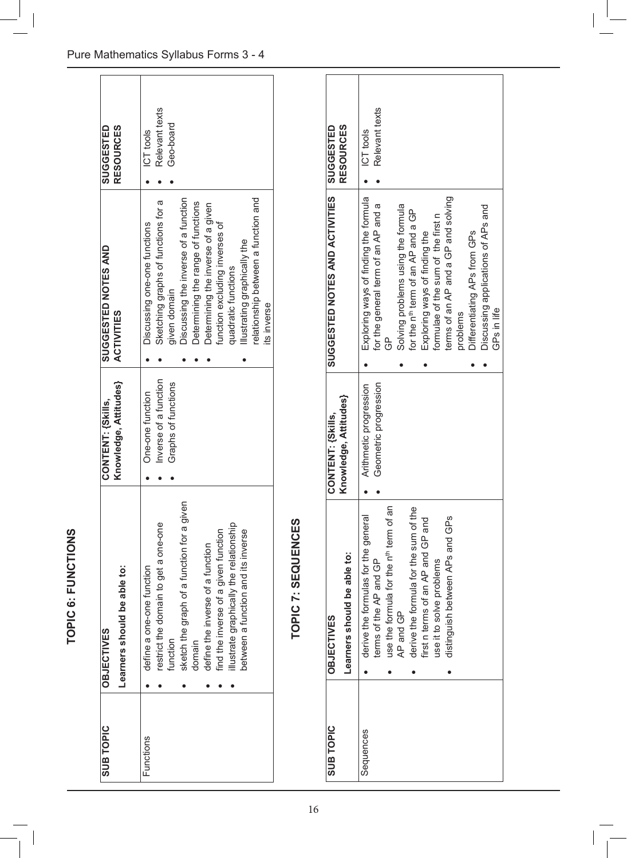|                  | TOPIC 6: FUNCTIONS                                                                                                                                                                                                                                                                                 |                                                                  |                                                                                                                                                                                                                                                                                                                                                        |                                          |  |
|------------------|----------------------------------------------------------------------------------------------------------------------------------------------------------------------------------------------------------------------------------------------------------------------------------------------------|------------------------------------------------------------------|--------------------------------------------------------------------------------------------------------------------------------------------------------------------------------------------------------------------------------------------------------------------------------------------------------------------------------------------------------|------------------------------------------|--|
| <b>SUB TOPIC</b> | Learners should be able to:<br><b>OBJECTIVES</b>                                                                                                                                                                                                                                                   | Knowledge, Attitudes}<br><b>CONTENT: {Skills,</b>                | <b>SUGGESTED NOTES AND</b><br><b>ACTIVITIES</b>                                                                                                                                                                                                                                                                                                        | <b>RESOURCES</b><br><b>SUGGESTED</b>     |  |
| Functions        | sketch the graph of a function for a given<br>illustrate graphically the relationship<br>restrict the domain to get a one-one<br>between a function and its inverse<br>find the inverse of a given function<br>define the inverse of a function<br>define a one-one function<br>function<br>domain | Inverse of a function<br>Graphs of functions<br>One-one function | Discussing the inverse of a function<br>relationship between a function and<br>Sketching graphs of functions for a<br>Determining the range of functions<br>Determining the inverse of a given<br>function excluding inverses of<br>Discussing one-one functions<br>Illustrating graphically the<br>quadratic functions<br>given domain<br>its inverse | Relevant texts<br>Geo-board<br>ICT tools |  |
|                  | TOPIC 7: SEQUENCES                                                                                                                                                                                                                                                                                 |                                                                  |                                                                                                                                                                                                                                                                                                                                                        |                                          |  |
| <b>SUB TOPIC</b> | Learners should be able to:<br><b>OBJECTIVES</b>                                                                                                                                                                                                                                                   | Knowledge, Attitudes}<br><b>CONTENT: {Skills,</b>                | SUGGESTED NOTES AND ACTIVITIES                                                                                                                                                                                                                                                                                                                         | <b>RESOURCES</b><br><b>SUGGESTED</b>     |  |
| Sequences        | use the formula for the n <sup>th</sup> term of an<br>derive the formula for the sum of the<br>derive the formulas for the general<br>distinguish between APs and GPs<br>first n terms of an AP and GP and<br>terms of the AP and GP<br>use it to solve problems<br>AP and GP                      | Geometric progression<br>Arithmetic progression                  | terms of an AP and a GP and solving<br>Exploring ways of finding the formula<br>for the general term of an AP and a<br>Solving problems using the formula<br>for the n <sup>th</sup> term of an AP and a GP<br>formulae of the sum of the first n<br>Exploring ways of finding the<br>ි<br>ෆ                                                           | Relevant texts<br>ICT tools              |  |

problems<br>Differentiating APs from GPs<br>Discussing applications of APs and<br>GPs in life

• Discussing applications of APs and

GPs in life

Differentiating APs from GPs

 $\bullet$ 

 $\bullet$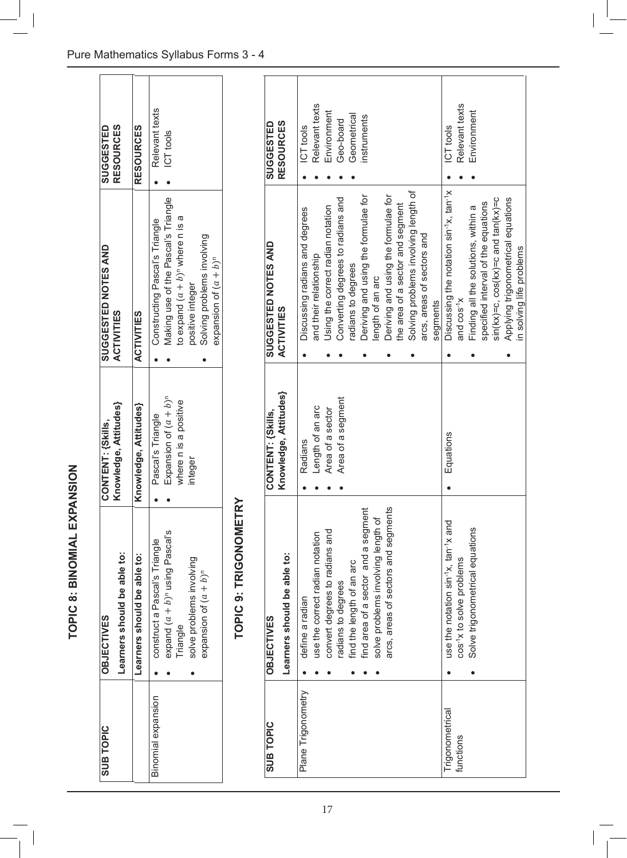| ۰<br>ī<br>l      |
|------------------|
|                  |
|                  |
|                  |
|                  |
|                  |
| d                |
|                  |
|                  |
|                  |
|                  |
|                  |
| ٠<br>ı           |
| ٥<br>ı           |
| í.               |
| ë<br>ī<br>I<br>l |
|                  |

|                    | TOPIC 8: BINOMIAL EXPANSION       |                            |                                     |                  |  |
|--------------------|-----------------------------------|----------------------------|-------------------------------------|------------------|--|
| <b>SUB TOPIC</b>   | <b>OBJECTIVES</b>                 | CONTENT: {Skills,          | SUGGESTED NOTES AND                 | <b>SUGGESTED</b> |  |
|                    | Learners should be able to:       | Knowledge, Attitudes}      | <b>ACTIVITIES</b>                   | <b>RESOURCES</b> |  |
|                    | Learners should be able to:       | lowledge, Attitudes}<br>Š٤ | <b>ACTIVITIES</b>                   | <b>RESOURCES</b> |  |
| Binomial expansion | construct a Pascal's Triangle     | Pascal's Triangle          | Constructing Pascal's Triangle      | Relevant texts   |  |
|                    | expand $(a + b)^n$ using Pascal's | Expansion of $(a + b)^n$   | Making use of the Pascal's Triangle | ICT tools        |  |
|                    | Triangle                          | where n is a positive      | to expand $(a + b)^n$ where n is a  |                  |  |
|                    | solve problems involving          | integer                    | positive integer                    |                  |  |
|                    | expansion of $(a + b)^n$          |                            | Solving problems involving          |                  |  |
|                    |                                   |                            | expansion of $(a + b)^n$            |                  |  |
|                    | TOPIC 9: TRIGONOMETRY             |                            |                                     |                  |  |

| arcs, areas of sectors and segments<br>find area of a sector and a segment<br>solve problems involving length of<br>use the notation sin <sup>-1</sup> x, tan <sup>-1</sup> x and<br>Solve trigonometrical equations<br>convert degrees to radians and<br>use the correct radian notation<br>cos <sup>-1</sup> x to solve problems<br>find the length of an arc<br>radians to degrees<br>define a radian<br>Plane Trigonometry<br>Trigonometrical<br>functions | Area of a segment<br>Length of an arc<br>Area of a sector<br>Radians | Deriving and using the formulae for<br>Converting degrees to radians and<br>Using the correct radian notation<br>Discussing radians and degrees<br>and their relationship<br>radians to degrees |                             |
|----------------------------------------------------------------------------------------------------------------------------------------------------------------------------------------------------------------------------------------------------------------------------------------------------------------------------------------------------------------------------------------------------------------------------------------------------------------|----------------------------------------------------------------------|-------------------------------------------------------------------------------------------------------------------------------------------------------------------------------------------------|-----------------------------|
|                                                                                                                                                                                                                                                                                                                                                                                                                                                                |                                                                      |                                                                                                                                                                                                 | Relevant texts<br>ICT tools |
|                                                                                                                                                                                                                                                                                                                                                                                                                                                                |                                                                      |                                                                                                                                                                                                 | Environment                 |
|                                                                                                                                                                                                                                                                                                                                                                                                                                                                |                                                                      |                                                                                                                                                                                                 | Geo-board                   |
|                                                                                                                                                                                                                                                                                                                                                                                                                                                                |                                                                      |                                                                                                                                                                                                 | Geometrical                 |
|                                                                                                                                                                                                                                                                                                                                                                                                                                                                |                                                                      |                                                                                                                                                                                                 | instruments                 |
|                                                                                                                                                                                                                                                                                                                                                                                                                                                                |                                                                      | length of an arc                                                                                                                                                                                |                             |
|                                                                                                                                                                                                                                                                                                                                                                                                                                                                |                                                                      | Deriving and using the formulae for                                                                                                                                                             |                             |
|                                                                                                                                                                                                                                                                                                                                                                                                                                                                |                                                                      | the area of a sector and segment                                                                                                                                                                |                             |
|                                                                                                                                                                                                                                                                                                                                                                                                                                                                |                                                                      | Solving problems involving length of                                                                                                                                                            |                             |
|                                                                                                                                                                                                                                                                                                                                                                                                                                                                |                                                                      | arcs, areas of sectors and                                                                                                                                                                      |                             |
|                                                                                                                                                                                                                                                                                                                                                                                                                                                                |                                                                      | segments                                                                                                                                                                                        |                             |
|                                                                                                                                                                                                                                                                                                                                                                                                                                                                | Equations                                                            | Discussing the notation sin <sup>-1</sup> x, tan <sup>-1</sup> x                                                                                                                                | ICT tools                   |
|                                                                                                                                                                                                                                                                                                                                                                                                                                                                |                                                                      | and cos <sup>-1</sup> x                                                                                                                                                                         | Relevant texts              |
|                                                                                                                                                                                                                                                                                                                                                                                                                                                                |                                                                      | Finding all the solutions, within a                                                                                                                                                             | Environment                 |
|                                                                                                                                                                                                                                                                                                                                                                                                                                                                |                                                                      | specified interval of the equations                                                                                                                                                             |                             |
|                                                                                                                                                                                                                                                                                                                                                                                                                                                                |                                                                      | sin(kx)=c, cos(kx)=c and tan(kx)=c                                                                                                                                                              |                             |
|                                                                                                                                                                                                                                                                                                                                                                                                                                                                |                                                                      | Applying trigonometrical equations<br>in solving life problems                                                                                                                                  |                             |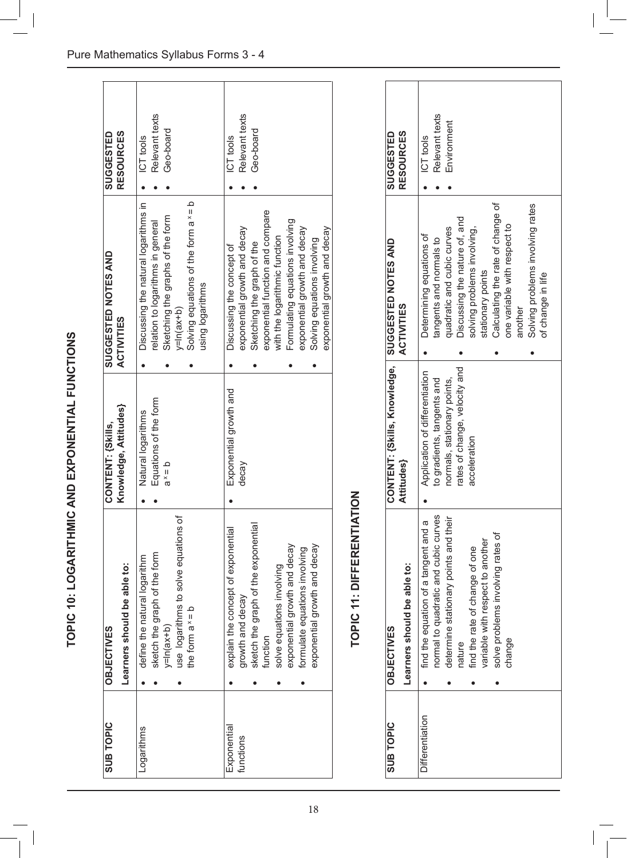| <b>NACHOLAINE</b> |      |
|-------------------|------|
| Ī.                |      |
|                   | ミンコン |
| 「^^」              |      |
| Í                 |      |

| <b>SUB TOPIC</b>         | Learners should be able to:<br><b>OBJECTIVES</b>                                                                                                                                                                                                                               | Knowledge, Attitudes}<br><b>CONTENT: {Skills,</b>                                                                                                         | <b>SUGGESTED NOTES AND</b><br><b>ACTIVITIES</b>                                                                                                                                                                                                                                                                              | <b>RESOURCES</b><br><b>SUGGESTED</b>       |
|--------------------------|--------------------------------------------------------------------------------------------------------------------------------------------------------------------------------------------------------------------------------------------------------------------------------|-----------------------------------------------------------------------------------------------------------------------------------------------------------|------------------------------------------------------------------------------------------------------------------------------------------------------------------------------------------------------------------------------------------------------------------------------------------------------------------------------|--------------------------------------------|
| Logarithms               | use logarithms to solve equations of<br>sketch the graph of the form<br>define the natural logarithm<br>the form $a^x = b$<br>y=ln(ax+b)<br>$\bullet$                                                                                                                          | $\bullet$<br>Equations of the form<br>Natural logarithms<br>$d = x$                                                                                       | Solving equations of the form $a^x = b$<br>Discussing the natural logarithms in<br>Sketching the graphs of the form<br>relation to logarithms in general<br>using logarithms<br>$y=ln(ax+b)$                                                                                                                                 | Relevant texts<br>Geo-board<br>ICT tools   |
| Exponential<br>functions | sketch the graph of the exponential<br>explain the concept of exponential<br>exponential growth and decay<br>exponential growth and decay<br>formulate equations involving<br>solve equations involving<br>growth and decay<br>function<br>$\bullet$                           | $\bullet$<br>Exponential growth and<br>decay<br>٠                                                                                                         | exponential function and compare<br>Formulating equations involving<br>exponential growth and decay<br>exponential growth and decay<br>exponential growth and decay<br>with the logarithmic function<br>Solving equations involving<br>Sketching the graph of the<br>Discussing the concept of                               | Relevant texts<br>Geo-board<br>ICT tools   |
|                          | TOPIC 11: DIFFERENTIATION                                                                                                                                                                                                                                                      |                                                                                                                                                           |                                                                                                                                                                                                                                                                                                                              |                                            |
| <b>SUB TOPIC</b>         | Learners should be able to:<br><b>OBJECTIVES</b>                                                                                                                                                                                                                               | CONTENT: {Skills, Knowledge,<br>Attitudes}                                                                                                                | SUGGESTED NOTES AND<br><b>ACTIVITIES</b>                                                                                                                                                                                                                                                                                     | <b>RESOURCES</b><br><b>SUGGESTED</b>       |
| Differentiation          | normal to quadratic and cubic curves<br>determine stationary points and their<br>find the equation of a tangent and a<br>solve problems involving rates of<br>variable with respect to another<br>find the rate of change of one<br>change<br>nature<br>$\bullet$<br>$\bullet$ | rates of change, velocity and<br>Application of differentiation<br>normals, stationary points,<br>to gradients, tangents and<br>acceleration<br>$\bullet$ | Calculating the rate of change of<br>Solving problems involving rates<br>Discussing the nature of, and<br>one variable with respect to<br>solving problems involving,<br>quadratic and cubic curves<br>Determining equations of<br>tangents and normals to<br>stationary points<br>of change in life<br>another<br>$\bullet$ | Relevant texts<br>Environment<br>ICT tools |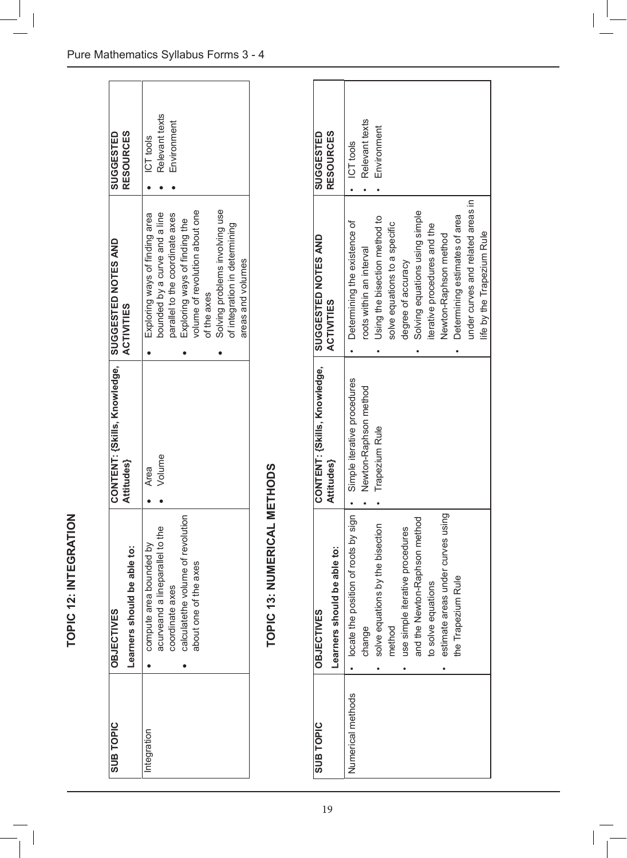| ۱      |
|--------|
|        |
|        |
|        |
|        |
|        |
| n<br>ı |
| ï      |
| ۱<br>Ľ |
|        |
|        |
|        |
|        |
|        |
| i      |
|        |
|        |

| <b>SUB TOPIC</b> | <b>OBJECTIVES</b>                 | CONTENT: {Skills, Knowledge,   SUGGESTED NOTES AND |                                 | SUGGESTED        |
|------------------|-----------------------------------|----------------------------------------------------|---------------------------------|------------------|
|                  | Learners should be able to:       | Attitudes}                                         | <b>ACTIVITIES</b>               | <b>RESOURCES</b> |
| ntegration       | compute area bounded by           | Area                                               | Exploring ways of finding area  | ICT tools        |
|                  | acurveand a lineparallel to the   | Volume                                             | bounded by a curve and a line   | Relevant texts   |
|                  | coordinate axes                   |                                                    | parallel to the coordinate axes | Environment      |
|                  | calculatethe volume of revolution |                                                    | Exploring ways of finding the   |                  |
|                  | about one of the axes             |                                                    | volume of revolution about one  |                  |
|                  |                                   |                                                    | of the axes                     |                  |
|                  |                                   |                                                    | Solving problems involving use  |                  |
|                  |                                   |                                                    | of integration in determining   |                  |
|                  |                                   |                                                    | areas and volumes               |                  |

## TOPIC 13: NUMERICAL METHODS **TOPIC 13: NUMERICAL METHODS**

| <b>SUB TOPIC</b>  | <b>OBJECTIVES</b>                    | CONTENT: {Skills, Knowledge, | SUGGESTED NOTES AND               | SUGGESTED        |
|-------------------|--------------------------------------|------------------------------|-----------------------------------|------------------|
|                   | earners should be able to:           | Attitudes}                   | <b>ACTIVITIES</b>                 | <b>RESOURCES</b> |
| Numerical methods | locate the position of roots by sign | Simple iterative procedures  | Determining the existence of      | ICT tools        |
|                   | change                               | Newton-Raphson method        | roots within an interval          | Relevant texts   |
|                   | solve equations by the bisection     | Trapezium Rule               | Using the bisection method to     | Environment      |
|                   | method                               |                              | solve equations to a specific     |                  |
|                   | use simple iterative procedures      |                              | degree of accuracy                |                  |
|                   | and the Newton-Raphson method        |                              | Solving equations using simple    |                  |
|                   | to solve equations                   |                              | iterative procedures and the      |                  |
|                   | estimate areas under curves using    |                              | Newton-Raphson method             |                  |
|                   | the Trapezium Rule                   |                              | Determining estimates of area     |                  |
|                   |                                      |                              | under curves and related areas in |                  |
|                   |                                      |                              | life by the Trapezium Rule        |                  |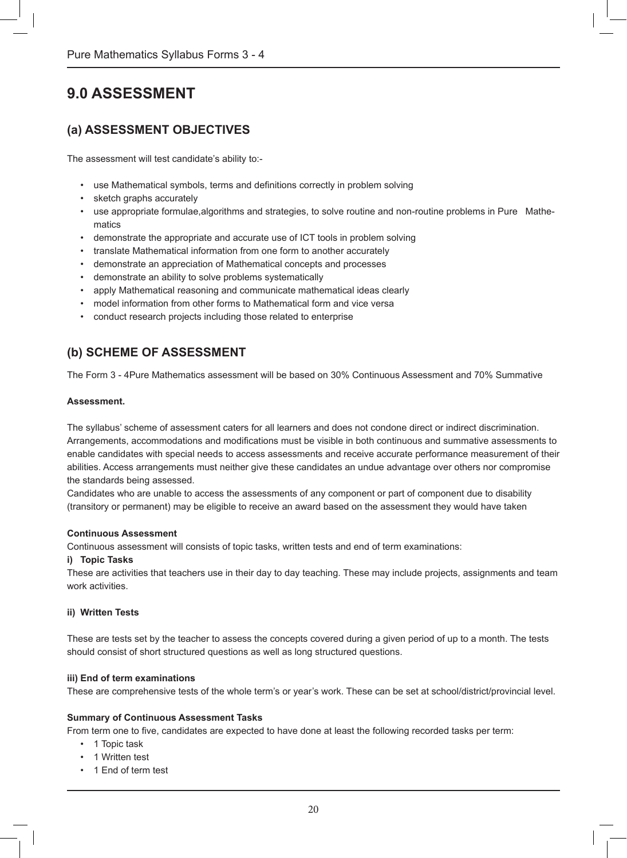## **9.0 ASSESSMENT**

## **(a) ASSESSMENT OBJECTIVES**

The assessment will test candidate's ability to:-

- use Mathematical symbols, terms and definitions correctly in problem solving
- sketch graphs accurately
- use appropriate formulae,algorithms and strategies, to solve routine and non-routine problems in Pure Mathematics
- demonstrate the appropriate and accurate use of ICT tools in problem solving
- translate Mathematical information from one form to another accurately
- demonstrate an appreciation of Mathematical concepts and processes
- demonstrate an ability to solve problems systematically
- apply Mathematical reasoning and communicate mathematical ideas clearly
- model information from other forms to Mathematical form and vice versa
- conduct research projects including those related to enterprise

## **(b) SCHEME OF ASSESSMENT**

The Form 3 - 4Pure Mathematics assessment will be based on 30% Continuous Assessment and 70% Summative

## **Assessment.**

The syllabus' scheme of assessment caters for all learners and does not condone direct or indirect discrimination. Arrangements, accommodations and modifications must be visible in both continuous and summative assessments to enable candidates with special needs to access assessments and receive accurate performance measurement of their abilities. Access arrangements must neither give these candidates an undue advantage over others nor compromise the standards being assessed.

Candidates who are unable to access the assessments of any component or part of component due to disability (transitory or permanent) may be eligible to receive an award based on the assessment they would have taken

## **Continuous Assessment**

Continuous assessment will consists of topic tasks, written tests and end of term examinations:

## **i) Topic Tasks**

These are activities that teachers use in their day to day teaching. These may include projects, assignments and team work activities.

## **ii) Written Tests**

These are tests set by the teacher to assess the concepts covered during a given period of up to a month. The tests should consist of short structured questions as well as long structured questions.

## **iii) End of term examinations**

These are comprehensive tests of the whole term's or year's work. These can be set at school/district/provincial level.

## **Summary of Continuous Assessment Tasks**

From term one to five, candidates are expected to have done at least the following recorded tasks per term:

- 1 Topic task
- 1 Written test
- 1 End of term test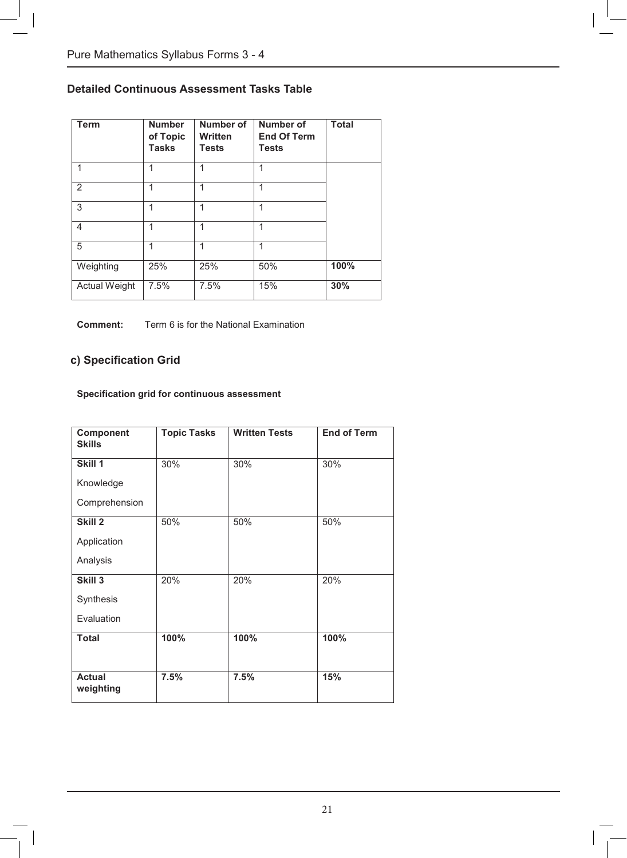1 End of term test

## **Detailed Continuous Assessment Tasks Table**

| <b>Term</b>          | <b>Number</b><br>of Topic<br><b>Tasks</b> | <b>Number of</b><br>Written<br><b>Tests</b> | <b>Number of</b><br><b>End Of Term</b><br><b>Tests</b> | <b>Total</b> |
|----------------------|-------------------------------------------|---------------------------------------------|--------------------------------------------------------|--------------|
| 1                    | 1                                         | 1                                           | 1                                                      |              |
| 2                    | 1                                         | 1                                           | 1                                                      |              |
| 3                    | 1                                         | 1                                           | 1                                                      |              |
| 4                    | 1                                         | 1                                           | 1                                                      |              |
| 5                    | 1                                         | 1                                           | 1                                                      |              |
| Weighting            | 25%                                       | 25%                                         | 50%                                                    | 100%         |
| <b>Actual Weight</b> | 7.5%                                      | 7.5%                                        | 15%                                                    | 30%          |

**Comment:** Term 6 is for the National Examination

## **c) Specification Grid** (c) Specification Grid

## Specification grid for continuous assessment

| <b>Component</b><br><b>Skills</b> | <b>Topic Tasks</b> | <b>Written Tests</b> | <b>End of Term</b> |
|-----------------------------------|--------------------|----------------------|--------------------|
| Skill 1                           | 30%                | 30%                  | 30%                |
| Knowledge                         |                    |                      |                    |
| Comprehension                     |                    |                      |                    |
| Skill <sub>2</sub>                | 50%                | 50%                  | 50%                |
| Application                       |                    |                      |                    |
| Analysis                          |                    |                      |                    |
| Skill 3                           | 20%                | 20%                  | 20%                |
| Synthesis                         |                    |                      |                    |
| Evaluation                        |                    |                      |                    |
| <b>Total</b>                      | 100%               | 100%                 | 100%               |
| <b>Actual</b><br>weighting        | 7.5%               | 7.5%                 | 15%                |

Pure Mathematics Syllabus Form 3 – 4 2016 26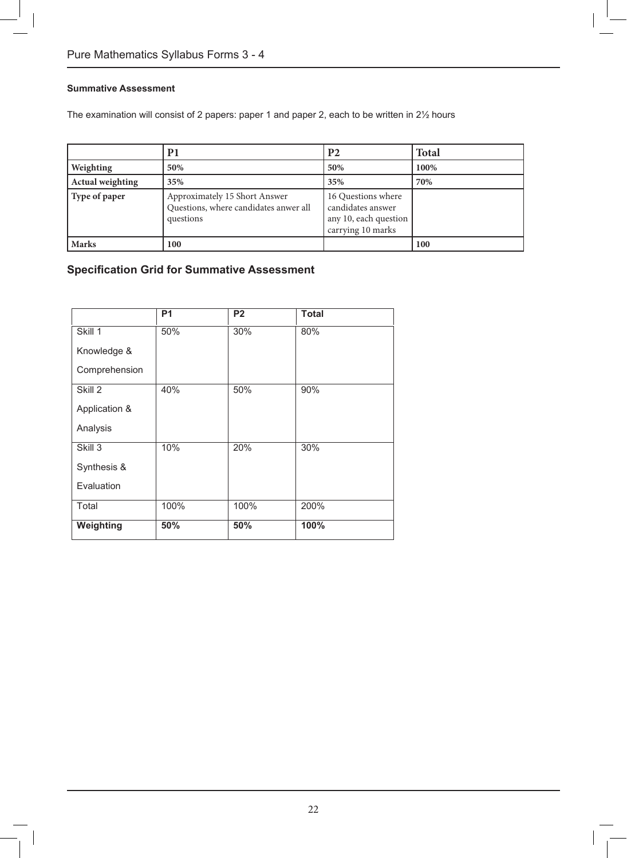## **Summative Assessment**

The examination will consist of 2 papers: paper 1 and paper 2, each to be written in 2½ hours

|                         | P <sub>1</sub>                                                                      | P2                                                                                    | <b>Total</b> |
|-------------------------|-------------------------------------------------------------------------------------|---------------------------------------------------------------------------------------|--------------|
| Weighting               | 50%                                                                                 | 50%                                                                                   | 100%         |
| <b>Actual weighting</b> | 35%                                                                                 | 35%                                                                                   | 70%          |
| Type of paper           | Approximately 15 Short Answer<br>Questions, where candidates anwer all<br>questions | 16 Questions where<br>candidates answer<br>any 10, each question<br>carrying 10 marks |              |
| Marks                   | 100                                                                                 |                                                                                       | 100          |

## **Specification Grid for Summative Assessment**

|               | <b>P1</b> | P <sub>2</sub> | <b>Total</b> |
|---------------|-----------|----------------|--------------|
| Skill 1       | 50%       | 30%            | 80%          |
| Knowledge &   |           |                |              |
| Comprehension |           |                |              |
| Skill 2       | 40%       | 50%            | 90%          |
| Application & |           |                |              |
| Analysis      |           |                |              |
| Skill 3       | 10%       | 20%            | 30%          |
| Synthesis &   |           |                |              |
| Evaluation    |           |                |              |
| Total         | 100%      | 100%           | 200%         |
| Weighting     | 50%       | 50%            | 100%         |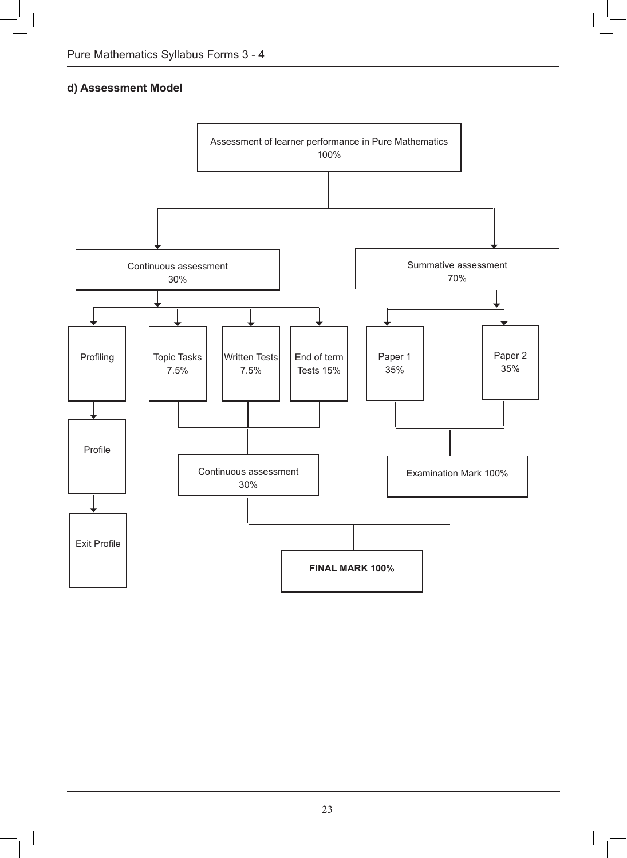## **d) Assessment Model**

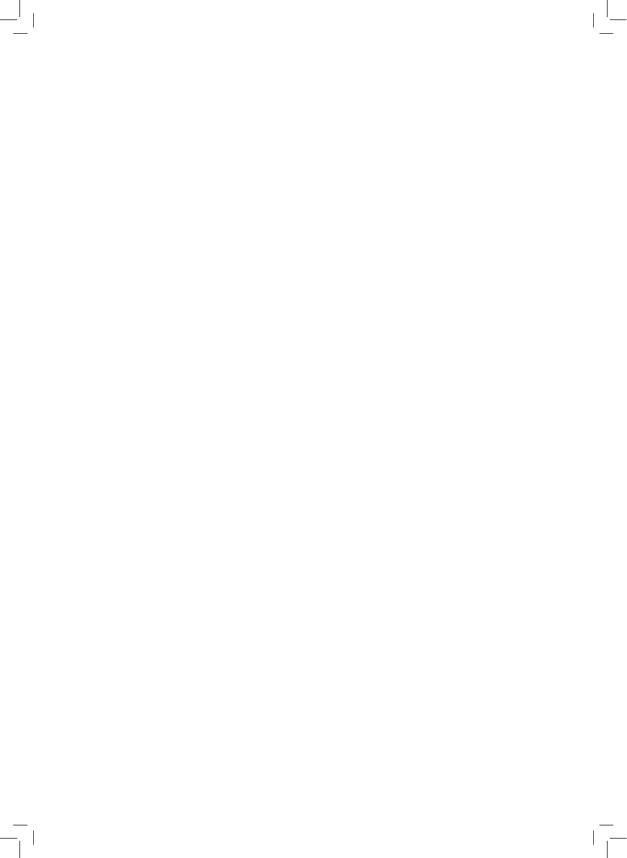$\frac{1}{\sqrt{1}}$  $\frac{1}{1}$ 

 $\frac{1}{\sqrt{1-\frac{1}{2}}}\Bigg|_{\frac{1}{2}}$